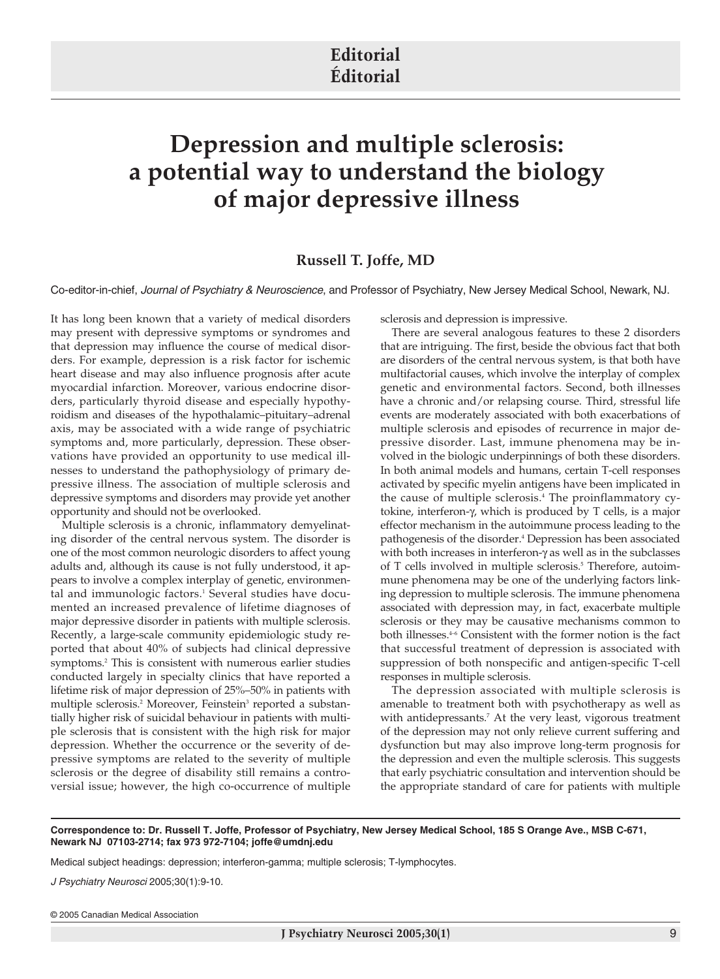## **Editorial Éditorial**

## **Depression and multiple sclerosis: a potential way to understand the biology of major depressive illness**

## **Russell T. Joffe, MD**

Co-editor-in-chief, *Journal of Psychiatry & Neuroscience*, and Professor of Psychiatry, New Jersey Medical School, Newark, NJ.

It has long been known that a variety of medical disorders may present with depressive symptoms or syndromes and that depression may influence the course of medical disorders. For example, depression is a risk factor for ischemic heart disease and may also influence prognosis after acute myocardial infarction. Moreover, various endocrine disorders, particularly thyroid disease and especially hypothyroidism and diseases of the hypothalamic–pituitary–adrenal axis, may be associated with a wide range of psychiatric symptoms and, more particularly, depression. These observations have provided an opportunity to use medical illnesses to understand the pathophysiology of primary depressive illness. The association of multiple sclerosis and depressive symptoms and disorders may provide yet another opportunity and should not be overlooked.

Multiple sclerosis is a chronic, inflammatory demyelinating disorder of the central nervous system. The disorder is one of the most common neurologic disorders to affect young adults and, although its cause is not fully understood, it appears to involve a complex interplay of genetic, environmental and immunologic factors.<sup>1</sup> Several studies have documented an increased prevalence of lifetime diagnoses of major depressive disorder in patients with multiple sclerosis. Recently, a large-scale community epidemiologic study reported that about 40% of subjects had clinical depressive symptoms.<sup>2</sup> This is consistent with numerous earlier studies conducted largely in specialty clinics that have reported a lifetime risk of major depression of 25%–50% in patients with multiple sclerosis.<sup>2</sup> Moreover, Feinstein<sup>3</sup> reported a substantially higher risk of suicidal behaviour in patients with multiple sclerosis that is consistent with the high risk for major depression. Whether the occurrence or the severity of depressive symptoms are related to the severity of multiple sclerosis or the degree of disability still remains a controversial issue; however, the high co-occurrence of multiple sclerosis and depression is impressive.

There are several analogous features to these 2 disorders that are intriguing. The first, beside the obvious fact that both are disorders of the central nervous system, is that both have multifactorial causes, which involve the interplay of complex genetic and environmental factors. Second, both illnesses have a chronic and/or relapsing course. Third, stressful life events are moderately associated with both exacerbations of multiple sclerosis and episodes of recurrence in major depressive disorder. Last, immune phenomena may be involved in the biologic underpinnings of both these disorders. In both animal models and humans, certain T-cell responses activated by specific myelin antigens have been implicated in the cause of multiple sclerosis.<sup>4</sup> The proinflammatory cytokine, interferon-γ, which is produced by T cells, is a major effector mechanism in the autoimmune process leading to the pathogenesis of the disorder.<sup>4</sup> Depression has been associated with both increases in interferon-γ as well as in the subclasses of T cells involved in multiple sclerosis.<sup>5</sup> Therefore, autoimmune phenomena may be one of the underlying factors linking depression to multiple sclerosis. The immune phenomena associated with depression may, in fact, exacerbate multiple sclerosis or they may be causative mechanisms common to both illnesses.<sup>4-6</sup> Consistent with the former notion is the fact that successful treatment of depression is associated with suppression of both nonspecific and antigen-specific T-cell responses in multiple sclerosis.

The depression associated with multiple sclerosis is amenable to treatment both with psychotherapy as well as with antidepressants.<sup>7</sup> At the very least, vigorous treatment of the depression may not only relieve current suffering and dysfunction but may also improve long-term prognosis for the depression and even the multiple sclerosis. This suggests that early psychiatric consultation and intervention should be the appropriate standard of care for patients with multiple

**Correspondence to: Dr. Russell T. Joffe, Professor of Psychiatry, New Jersey Medical School, 185 S Orange Ave., MSB C-671, Newark NJ 07103-2714; fax 973 972-7104; joffe@umdnj.edu**

Medical subject headings: depression; interferon-gamma; multiple sclerosis; T-lymphocytes.

*J Psychiatry Neurosci* 2005;30(1):9-10.